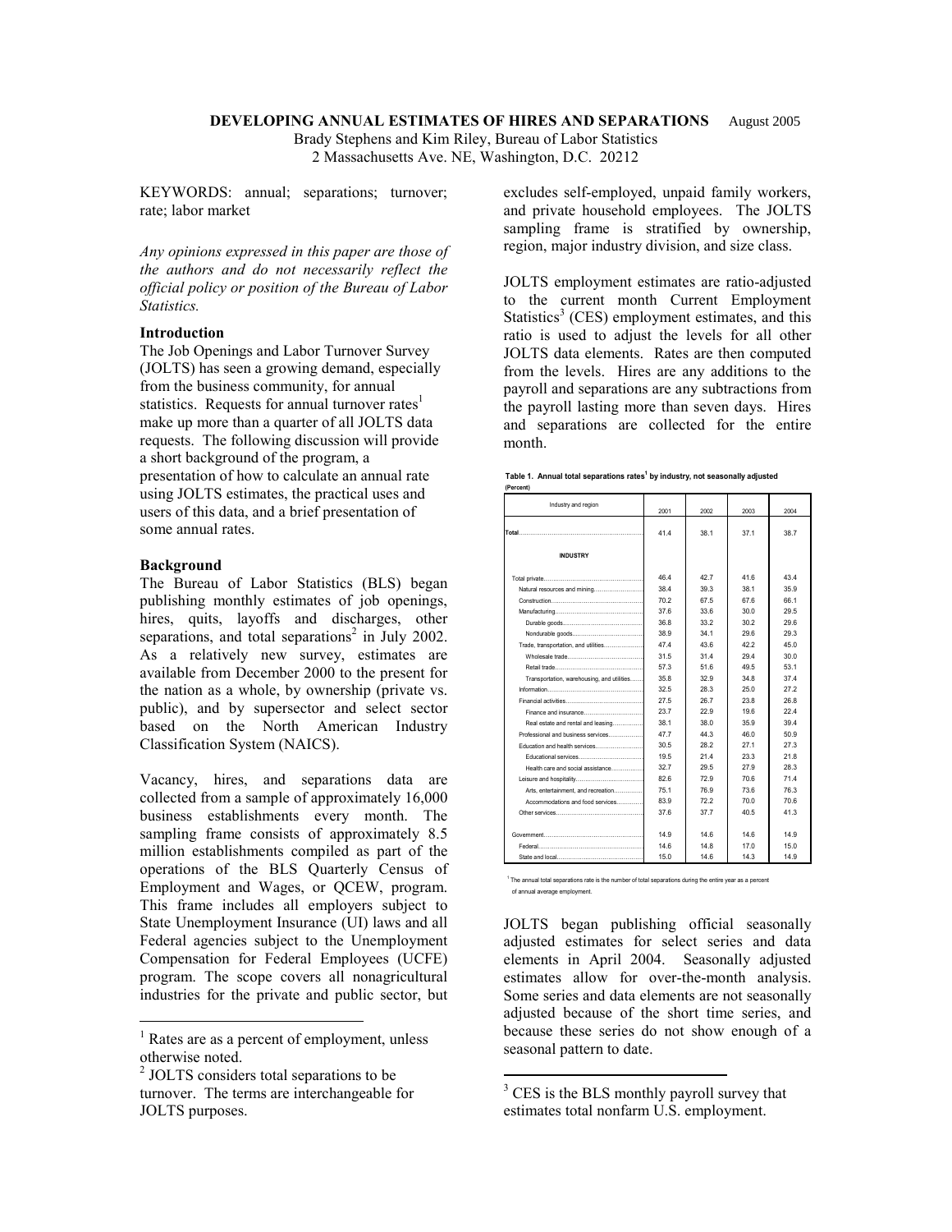#### **DEVELOPING ANNUAL ESTIMATES OF HIRES AND SEPARATIONS** August 2005

Brady Stephens and Kim Riley, Bureau of Labor Statistics 2 Massachusetts Ave. NE, Washington, D.C. 20212

KEYWORDS: annual; separations; turnover; rate; labor market

*Any opinions expressed in this paper are those of the authors and do not necessarily reflect the official policy or position of the Bureau of Labor Statistics.* 

# **Introduction**

The Job Openings and Labor Turnover Survey (JOLTS) has seen a growing demand, especially from the business community, for annual statistics. Requests for annual turnover rates<sup>1</sup> make up more than a quarter of all JOLTS data requests. The following discussion will provide a short background of the program, a presentation of how to calculate an annual rate using JOLTS estimates, the practical uses and users of this data, and a brief presentation of some annual rates.

### **Background**

 $\overline{a}$ 

The Bureau of Labor Statistics (BLS) began publishing monthly estimates of job openings, hires, quits, layoffs and discharges, other separations, and total separations<sup>2</sup> in July 2002. As a relatively new survey, estimates are available from December 2000 to the present for the nation as a whole, by ownership (private vs. public), and by supersector and select sector based on the North American Industry Classification System (NAICS).

Vacancy, hires, and separations data are collected from a sample of approximately 16,000 business establishments every month. The sampling frame consists of approximately 8.5 million establishments compiled as part of the operations of the BLS Quarterly Census of Employment and Wages, or QCEW, program. This frame includes all employers subject to State Unemployment Insurance (UI) laws and all Federal agencies subject to the Unemployment Compensation for Federal Employees (UCFE) program. The scope covers all nonagricultural industries for the private and public sector, but excludes self-employed, unpaid family workers, and private household employees. The JOLTS sampling frame is stratified by ownership, region, major industry division, and size class.

JOLTS employment estimates are ratio-adjusted to the current month Current Employment Statistics<sup>3</sup> (CES) employment estimates, and this ratio is used to adjust the levels for all other JOLTS data elements. Rates are then computed from the levels. Hires are any additions to the payroll and separations are any subtractions from the payroll lasting more than seven days. Hires and separations are collected for the entire month.

|  | Table 1. Annual total separations rates <sup>1</sup> by industry, not seasonally adjusted |
|--|-------------------------------------------------------------------------------------------|
|--|-------------------------------------------------------------------------------------------|

| (Percent)                                  |      |      |      |      |
|--------------------------------------------|------|------|------|------|
| Industry and region                        | 2001 | 2002 | 2003 | 2004 |
|                                            | 41.4 | 38.1 | 37.1 | 38.7 |
| <b>INDUSTRY</b>                            |      |      |      |      |
|                                            | 46.4 | 42.7 | 41.6 | 43.4 |
| Natural resources and mining               | 38.4 | 39.3 | 38.1 | 35.9 |
|                                            | 70.2 | 67.5 | 67.6 | 661  |
|                                            | 37.6 | 33.6 | 30.0 | 29.5 |
|                                            | 36.8 | 33.2 | 30.2 | 29.6 |
|                                            | 38.9 | 34.1 | 29.6 | 29.3 |
| Trade, transportation, and utilities       | 47.4 | 43.6 | 42.2 | 45.0 |
| Wholesale trade                            | 31.5 | 31.4 | 29.4 | 30.0 |
|                                            | 57.3 | 51.6 | 49.5 | 53.1 |
| Transportation, warehousing, and utilities | 35.8 | 32.9 | 34.8 | 37.4 |
|                                            | 32.5 | 28.3 | 25.0 | 27.2 |
| Financial activities                       | 27.5 | 26.7 | 23.8 | 26.8 |
| Finance and insurance                      | 23.7 | 22.9 | 19.6 | 22.4 |
| Real estate and rental and leasing         | 38.1 | 38.0 | 35.9 | 39.4 |
| Professional and business services         | 47.7 | 44.3 | 46.0 | 50.9 |
| Education and health services              | 30.5 | 28.2 | 27.1 | 27.3 |
| Educational services <b>Educational</b>    | 19.5 | 21.4 | 23.3 | 21.8 |
| Health care and social assistance          | 32.7 | 29.5 | 27.9 | 28.3 |
|                                            | 826  | 72.9 | 70.6 | 71.4 |
| Arts, entertainment, and recreation        | 75.1 | 76.9 | 73.6 | 76.3 |
| Accommodations and food services           | 83.9 | 72.2 | 70.0 | 70.6 |
|                                            | 37.6 | 37.7 | 40.5 | 41.3 |
| Government                                 | 14.9 | 14.6 | 14.6 | 14.9 |
|                                            | 14.6 | 14.8 | 17.0 | 15.0 |
|                                            | 15.0 | 14.6 | 14.3 | 14.9 |

<sup>1</sup> The annual total separations rate is the number of total separations during the entire year as a percent of annual average employment.

JOLTS began publishing official seasonally adjusted estimates for select series and data elements in April 2004. Seasonally adjusted estimates allow for over-the-month analysis. Some series and data elements are not seasonally adjusted because of the short time series, and because these series do not show enough of a seasonal pattern to date.

 $\overline{a}$ 

<sup>&</sup>lt;sup>1</sup> Rates are as a percent of employment, unless otherwise noted.

<sup>&</sup>lt;sup>2</sup> JOLTS considers total separations to be turnover. The terms are interchangeable for JOLTS purposes.

<sup>&</sup>lt;sup>3</sup> CES is the BLS monthly payroll survey that estimates total nonfarm U.S. employment.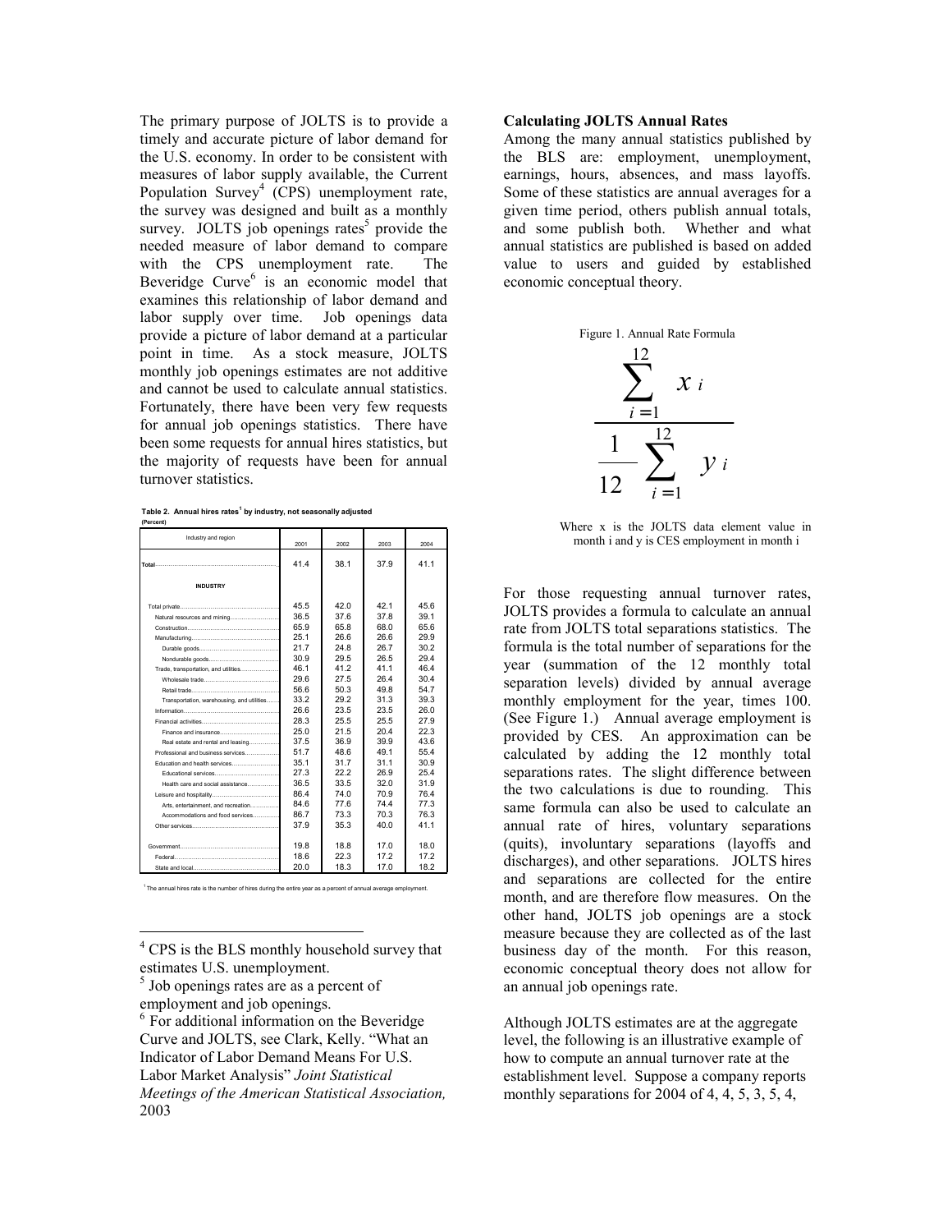The primary purpose of JOLTS is to provide a timely and accurate picture of labor demand for the U.S. economy. In order to be consistent with measures of labor supply available, the Current Population Survey<sup>4</sup> (CPS) unemployment rate, the survey was designed and built as a monthly survey. JOLTS job openings rates<sup>5</sup> provide the needed measure of labor demand to compare with the CPS unemployment rate. The Beveridge Curve<sup>6</sup> is an economic model that examines this relationship of labor demand and labor supply over time. Job openings data provide a picture of labor demand at a particular point in time. As a stock measure, JOLTS monthly job openings estimates are not additive and cannot be used to calculate annual statistics. Fortunately, there have been very few requests for annual job openings statistics. There have been some requests for annual hires statistics, but the majority of requests have been for annual turnover statistics.

**Table 2. Annual hires rates<sup>1</sup> by industry, not seasonally adjusted**

| (Percent)                                                                                                                                                                                                                      |      |      |      |      |
|--------------------------------------------------------------------------------------------------------------------------------------------------------------------------------------------------------------------------------|------|------|------|------|
| Industry and region                                                                                                                                                                                                            | 2001 | 2002 | 2003 | 2004 |
|                                                                                                                                                                                                                                |      |      |      |      |
|                                                                                                                                                                                                                                | 41.4 | 38.1 | 37.9 | 41.1 |
| <b>INDUSTRY</b>                                                                                                                                                                                                                |      |      |      |      |
|                                                                                                                                                                                                                                | 45.5 | 420  | 421  | 45.6 |
| Natural resources and mining                                                                                                                                                                                                   | 36.5 | 37.6 | 37.8 | 39.1 |
|                                                                                                                                                                                                                                | 65.9 | 65.8 | 68.0 | 65.6 |
|                                                                                                                                                                                                                                | 25.1 | 26.6 | 26.6 | 29.9 |
|                                                                                                                                                                                                                                | 21.7 | 24 8 | 26.7 | 30.2 |
|                                                                                                                                                                                                                                | 30.9 | 29.5 | 26.5 | 29.4 |
| Trade, transportation, and utilities                                                                                                                                                                                           | 46.1 | 41.2 | 411  | 46.4 |
|                                                                                                                                                                                                                                | 29.6 | 27.5 | 26.4 | 30.4 |
| Retail trade                                                                                                                                                                                                                   | 56.6 | 50.3 | 49.8 | 54.7 |
| Transportation, warehousing, and utilities                                                                                                                                                                                     | 33.2 | 29.2 | 31.3 | 39.3 |
| Information and the contract of the contract of the contract of the contract of the contract of the contract of the contract of the contract of the contract of the contract of the contract of the contract of the contract o | 26.6 | 23.5 | 23.5 | 26.0 |
|                                                                                                                                                                                                                                | 28.3 | 25.5 | 25.5 | 27.9 |
| Finance and insurance                                                                                                                                                                                                          | 25.0 | 21.5 | 204  | 223  |
| Real estate and rental and leasing                                                                                                                                                                                             | 37.5 | 36.9 | 39.9 | 43.6 |
| Professional and business services                                                                                                                                                                                             | 51.7 | 48.6 | 491  | 55.4 |
| Education and health services                                                                                                                                                                                                  | 35.1 | 31.7 | 31.1 | 30.9 |
|                                                                                                                                                                                                                                | 27.3 | 222  | 26.9 | 254  |
| Health care and social assistance                                                                                                                                                                                              | 36.5 | 33.5 | 32.0 | 31.9 |
|                                                                                                                                                                                                                                | 86.4 | 74.0 | 70.9 | 76.4 |
| Arts, entertainment, and recreation                                                                                                                                                                                            | 84.6 | 77.6 | 74.4 | 77.3 |
| Accommodations and food services                                                                                                                                                                                               | 86.7 | 73.3 | 70.3 | 76.3 |
| Other services and a contract of the contract of the contract of the contract of the contract of the contract of the contract of the contract of the contract of the contract of the contract of the contract of the contract  | 37.9 | 35.3 | 40.0 | 41.1 |
|                                                                                                                                                                                                                                |      |      |      |      |
| Government                                                                                                                                                                                                                     | 19.8 | 18.8 | 17.0 | 18.0 |
|                                                                                                                                                                                                                                | 18.6 | 22.3 | 17.2 | 17.2 |
| State and local contract to the state and local                                                                                                                                                                                | 20.0 | 18.3 | 17.0 | 18.2 |

The annual hires rate is the number of hires during the entire year as a percent of annual average employment

<sup>4</sup> CPS is the BLS monthly household survey that estimates U.S. unemployment.

 $\overline{a}$ 

## **Calculating JOLTS Annual Rates**

Among the many annual statistics published by the BLS are: employment, unemployment, earnings, hours, absences, and mass layoffs. Some of these statistics are annual averages for a given time period, others publish annual totals, and some publish both. Whether and what annual statistics are published is based on added value to users and guided by established economic conceptual theory.





Where x is the JOLTS data element value in month i and y is CES employment in month i

For those requesting annual turnover rates, JOLTS provides a formula to calculate an annual rate from JOLTS total separations statistics. The formula is the total number of separations for the year (summation of the 12 monthly total separation levels) divided by annual average monthly employment for the year, times 100. (See Figure 1.) Annual average employment is provided by CES. An approximation can be calculated by adding the 12 monthly total separations rates. The slight difference between the two calculations is due to rounding. This same formula can also be used to calculate an annual rate of hires, voluntary separations (quits), involuntary separations (layoffs and discharges), and other separations. JOLTS hires and separations are collected for the entire month, and are therefore flow measures. On the other hand, JOLTS job openings are a stock measure because they are collected as of the last business day of the month. For this reason, economic conceptual theory does not allow for an annual job openings rate.

Although JOLTS estimates are at the aggregate level, the following is an illustrative example of how to compute an annual turnover rate at the establishment level. Suppose a company reports monthly separations for 2004 of 4, 4, 5, 3, 5, 4,

<sup>5</sup> Job openings rates are as a percent of employment and job openings.

<sup>&</sup>lt;sup>6</sup> For additional information on the Beveridge Curve and JOLTS, see Clark, Kelly. "What an Indicator of Labor Demand Means For U.S. Labor Market Analysis" *Joint Statistical Meetings of the American Statistical Association,*  2003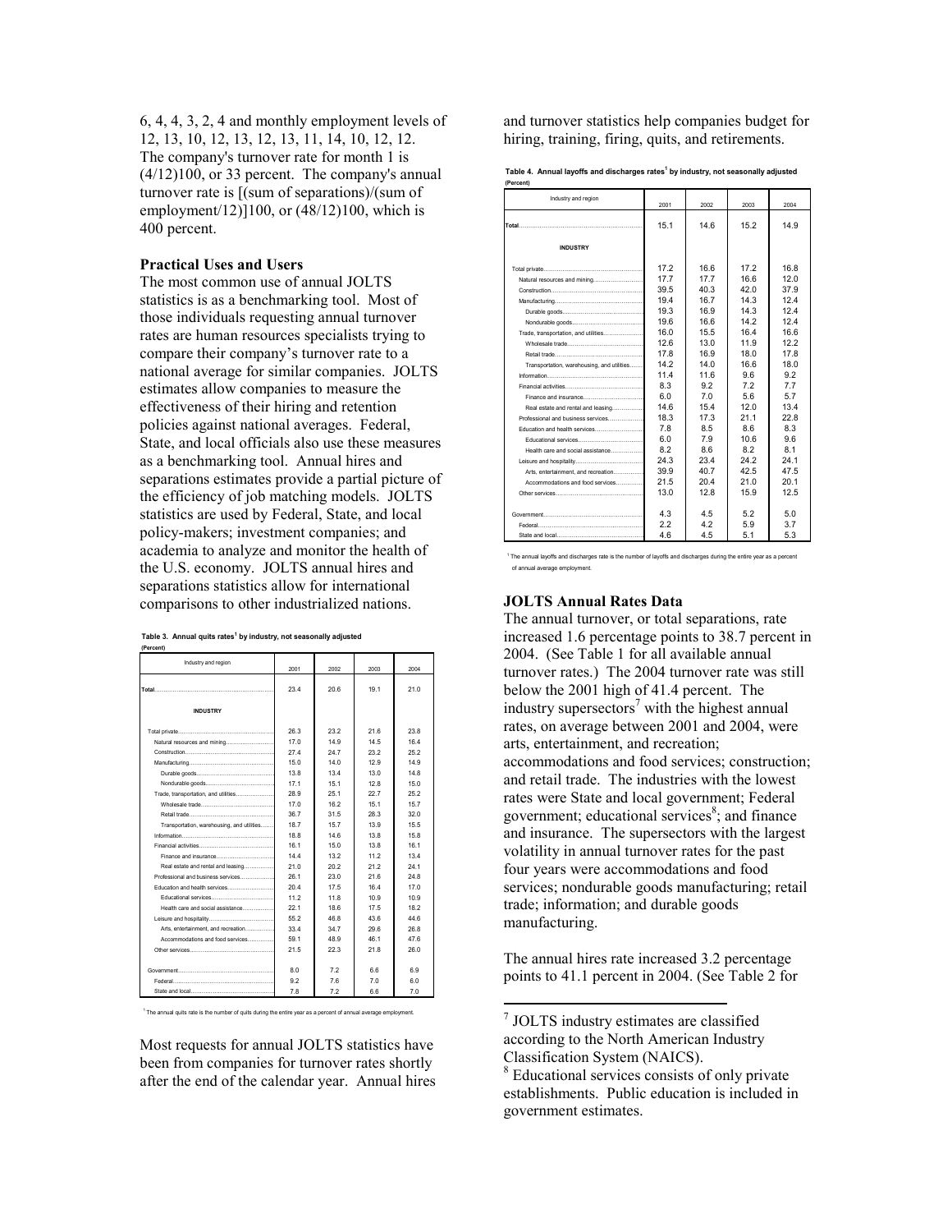6, 4, 4, 3, 2, 4 and monthly employment levels of 12, 13, 10, 12, 13, 12, 13, 11, 14, 10, 12, 12. The company's turnover rate for month 1 is (4/12)100, or 33 percent. The company's annual turnover rate is [(sum of separations)/(sum of employment/12)]100, or (48/12)100, which is 400 percent.

### **Practical Uses and Users**

The most common use of annual JOLTS statistics is as a benchmarking tool. Most of those individuals requesting annual turnover rates are human resources specialists trying to compare their company's turnover rate to a national average for similar companies. JOLTS estimates allow companies to measure the effectiveness of their hiring and retention policies against national averages. Federal, State, and local officials also use these measures as a benchmarking tool. Annual hires and separations estimates provide a partial picture of the efficiency of job matching models. JOLTS statistics are used by Federal, State, and local policy-makers; investment companies; and academia to analyze and monitor the health of the U.S. economy. JOLTS annual hires and separations statistics allow for international comparisons to other industrialized nations.

| (Percent)                                                                                                                                                                                                                            |      |      |      |      |
|--------------------------------------------------------------------------------------------------------------------------------------------------------------------------------------------------------------------------------------|------|------|------|------|
| Industry and region                                                                                                                                                                                                                  | 2001 | 2002 | 2003 | 2004 |
| <b>Total</b>                                                                                                                                                                                                                         | 23.4 | 20.6 | 19.1 | 21.0 |
| <b>INDUSTRY</b>                                                                                                                                                                                                                      |      |      |      |      |
|                                                                                                                                                                                                                                      | 26.3 | 23.2 | 21.6 | 23.8 |
| Natural resources and mining                                                                                                                                                                                                         | 17.0 | 14.9 | 14.5 | 16.4 |
|                                                                                                                                                                                                                                      | 27.4 | 24.7 | 23.2 | 25.2 |
|                                                                                                                                                                                                                                      | 15.0 | 14.0 | 12.9 | 14.9 |
|                                                                                                                                                                                                                                      | 13.8 | 13.4 | 13.0 | 14.8 |
|                                                                                                                                                                                                                                      | 17.1 | 15.1 | 12.8 | 15.0 |
| Trade, transportation, and utilities                                                                                                                                                                                                 | 28.9 | 25.1 | 22.7 | 25.2 |
| Wholesale trade and a control of the world with the world with the world with the world with the world with the world with the world with the world with the world with the world with the world with the world with the world       | 17.0 | 16.2 | 15.1 | 15.7 |
| Retail trade                                                                                                                                                                                                                         | 36.7 | 31.5 | 28.3 | 320  |
| Transportation, warehousing, and utilities                                                                                                                                                                                           | 18.7 | 15.7 | 13.9 | 15.5 |
|                                                                                                                                                                                                                                      | 18.8 | 14.6 | 13.8 | 15.8 |
|                                                                                                                                                                                                                                      | 16.1 | 15.0 | 13.8 | 16.1 |
| Finance and insurance                                                                                                                                                                                                                | 14.4 | 13.2 | 11.2 | 13.4 |
| Real estate and rental and leasing                                                                                                                                                                                                   | 21.0 | 20.2 | 21.2 | 24.1 |
| Professional and business services                                                                                                                                                                                                   | 26.1 | 23.0 | 216  | 24.8 |
| Education and health services                                                                                                                                                                                                        | 20.4 | 17.5 | 16.4 | 17.0 |
| Educational services <b>Educational</b>                                                                                                                                                                                              | 11.2 | 11.8 | 10.9 | 10.9 |
| Health care and social assistance                                                                                                                                                                                                    | 22.1 | 18.6 | 17.5 | 18.2 |
|                                                                                                                                                                                                                                      | 55.2 | 46.8 | 43.6 | 44.6 |
| Arts, entertainment, and recreation                                                                                                                                                                                                  | 33.4 | 34.7 | 296  | 26.8 |
| Accommodations and food services                                                                                                                                                                                                     | 59.1 | 48.9 | 46.1 | 47.6 |
|                                                                                                                                                                                                                                      | 21.5 | 22.3 | 21.8 | 26.0 |
| Government                                                                                                                                                                                                                           | 80   | 72   | 66   | 69   |
| Eederal <b>Experience Contract Contract Contract Contract Contract Contract Contract Contract Contract Contract Contract Contract Contract Contract Contract Contract Contract Contract Contract Contract Contract Contract Cont</b> | 92   | 76   | 70   | 60   |
|                                                                                                                                                                                                                                      | 78   | 72   | 66   | 70   |

<sup>1</sup> The annual quits rate is the number of quits during the entire year as a percent of annual average employment

Most requests for annual JOLTS statistics have been from companies for turnover rates shortly after the end of the calendar year. Annual hires and turnover statistics help companies budget for hiring, training, firing, quits, and retirements.

**Table 4. Annual layoffs and discharges rates1 by industry, not seasonally adjusted**

| (Percent)                                                                                                                                                                                                                            |      |      |                 |      |
|--------------------------------------------------------------------------------------------------------------------------------------------------------------------------------------------------------------------------------------|------|------|-----------------|------|
| Industry and region                                                                                                                                                                                                                  | 2001 | 2002 | 2003            | 2004 |
| <b>Total</b>                                                                                                                                                                                                                         | 15.1 | 14.6 | 15.2            | 14.9 |
| <b>INDUSTRY</b>                                                                                                                                                                                                                      |      |      |                 |      |
|                                                                                                                                                                                                                                      | 17.2 | 16.6 | 17.2            | 16.8 |
| Natural resources and mining                                                                                                                                                                                                         | 17.7 | 17.7 | 16.6            | 12.0 |
|                                                                                                                                                                                                                                      | 39.5 | 40.3 | 420             | 37.9 |
|                                                                                                                                                                                                                                      | 19.4 | 16.7 | 14 3            | 124  |
|                                                                                                                                                                                                                                      | 19.3 | 16.9 | 14.3            | 124  |
|                                                                                                                                                                                                                                      | 19.6 | 16.6 | 142             | 124  |
| Trade, transportation, and utilities                                                                                                                                                                                                 | 16.0 | 15.5 | 16.4            | 16.6 |
|                                                                                                                                                                                                                                      | 12.6 | 13.0 | 11.9            | 12.2 |
|                                                                                                                                                                                                                                      | 17.8 | 16.9 | 18.0            | 17.8 |
| Transportation, warehousing, and utilities                                                                                                                                                                                           | 14.2 | 14.0 | 16.6            | 18.0 |
| Information and the contract of the contract of the contract of the contract of the contract of the contract of the contract of the contract of the contract of the contract of the contract of the contract of the contract o       | 11.4 | 116  | 96              | 92   |
|                                                                                                                                                                                                                                      | 8.3  | 9.2  | 72              | 7.7  |
|                                                                                                                                                                                                                                      | 6.0  | 7.0  | 5.6             | 5.7  |
| Real estate and rental and leasing                                                                                                                                                                                                   | 14.6 | 15.4 | 120             | 13.4 |
| Professional and business services                                                                                                                                                                                                   | 18.3 | 17.3 | 21.1            | 22.8 |
| Education and health services                                                                                                                                                                                                        | 7.8  | 8.5  | 86              | 8.3  |
| Educational services <b>Educational</b>                                                                                                                                                                                              | 60   | 79   | 10 <sub>6</sub> | 9 R  |
| Health care and social assistance                                                                                                                                                                                                    | 8.2  | 8.6  | 8.2             | 8.1  |
|                                                                                                                                                                                                                                      | 24.3 | 23.4 | 24.2            | 24.1 |
| Arts, entertainment, and recreation                                                                                                                                                                                                  | 39.9 | 40.7 | 42.5            | 47.5 |
| Accommodations and food services                                                                                                                                                                                                     | 21.5 | 20.4 | 21.0            | 20.1 |
| Other services and a contract of the services                                                                                                                                                                                        | 13.0 | 12R  | 15.9            | 12.5 |
|                                                                                                                                                                                                                                      | 4.3  | 4.5  | 5.2             | 5.0  |
| Federal <b>Exploration Contract Contract Contract Contract Contract Contract Contract Contract Contract Contract Contract Contract Contract Contract Contract Contract Contract Contract Contract Contract Contract Contract Con</b> | 2.2  | 42   | 5.9             | 3.7  |
|                                                                                                                                                                                                                                      | 4.6  | 4.5  | 5.1             | 5.3  |

 $1$  The annual layoffs and discharges rate is the number of layoffs and discharges during the entire year as a percent of annual average employment.

# **JOLTS Annual Rates Data**

The annual turnover, or total separations, rate increased 1.6 percentage points to 38.7 percent in 2004. (See Table 1 for all available annual turnover rates.) The 2004 turnover rate was still below the 2001 high of 41.4 percent. The industry supersectors<sup>7</sup> with the highest annual rates, on average between 2001 and 2004, were arts, entertainment, and recreation; accommodations and food services; construction; and retail trade. The industries with the lowest rates were State and local government; Federal government; educational services<sup>8</sup>; and finance and insurance. The supersectors with the largest volatility in annual turnover rates for the past four years were accommodations and food services; nondurable goods manufacturing; retail trade; information; and durable goods manufacturing.

The annual hires rate increased 3.2 percentage points to 41.1 percent in 2004. (See Table 2 for

 $\overline{a}$ 

<sup>7</sup> JOLTS industry estimates are classified according to the North American Industry Classification System (NAICS).

<sup>&</sup>lt;sup>8</sup> Educational services consists of only private establishments. Public education is included in government estimates.